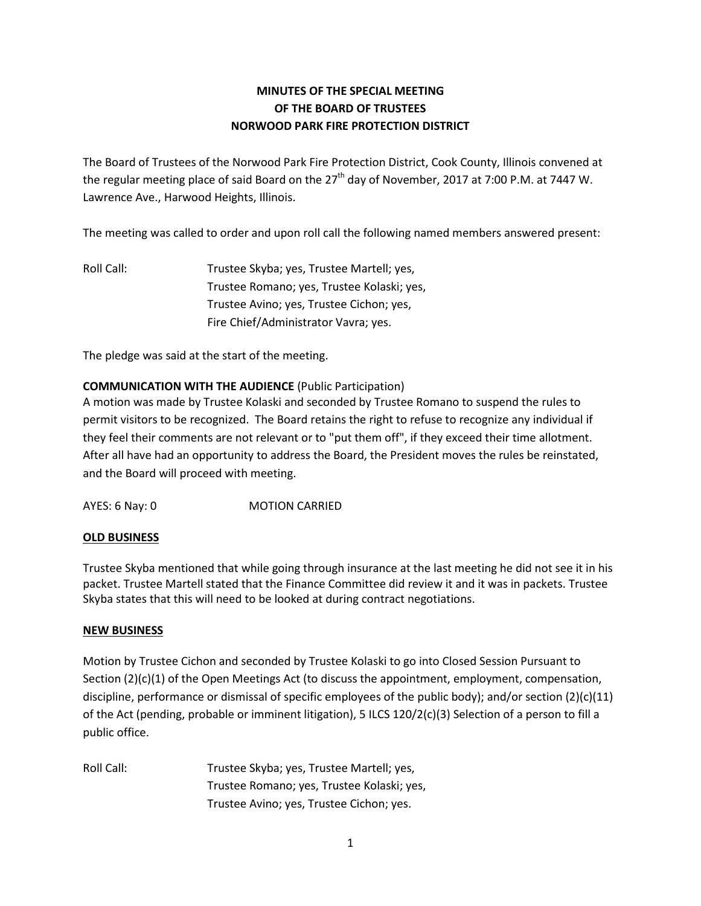# **MINUTES OF THE SPECIAL MEETING OF THE BOARD OF TRUSTEES NORWOOD PARK FIRE PROTECTION DISTRICT**

The Board of Trustees of the Norwood Park Fire Protection District, Cook County, Illinois convened at the regular meeting place of said Board on the  $27<sup>th</sup>$  day of November, 2017 at 7:00 P.M. at 7447 W. Lawrence Ave., Harwood Heights, Illinois.

The meeting was called to order and upon roll call the following named members answered present:

Roll Call: Trustee Skyba; yes, Trustee Martell; yes, Trustee Romano; yes, Trustee Kolaski; yes, Trustee Avino; yes, Trustee Cichon; yes, Fire Chief/Administrator Vavra; yes.

The pledge was said at the start of the meeting.

## **COMMUNICATION WITH THE AUDIENCE** (Public Participation)

A motion was made by Trustee Kolaski and seconded by Trustee Romano to suspend the rules to permit visitors to be recognized. The Board retains the right to refuse to recognize any individual if they feel their comments are not relevant or to "put them off", if they exceed their time allotment. After all have had an opportunity to address the Board, the President moves the rules be reinstated, and the Board will proceed with meeting.

AYES: 6 Nay: 0 MOTION CARRIED

### **OLD BUSINESS**

Trustee Skyba mentioned that while going through insurance at the last meeting he did not see it in his packet. Trustee Martell stated that the Finance Committee did review it and it was in packets. Trustee Skyba states that this will need to be looked at during contract negotiations.

### **NEW BUSINESS**

Motion by Trustee Cichon and seconded by Trustee Kolaski to go into Closed Session Pursuant to Section (2)(c)(1) of the Open Meetings Act (to discuss the appointment, employment, compensation, discipline, performance or dismissal of specific employees of the public body); and/or section (2)(c)(11) of the Act (pending, probable or imminent litigation), 5 ILCS 120/2(c)(3) Selection of a person to fill a public office.

Roll Call: Trustee Skyba; yes, Trustee Martell; yes, Trustee Romano; yes, Trustee Kolaski; yes, Trustee Avino; yes, Trustee Cichon; yes.